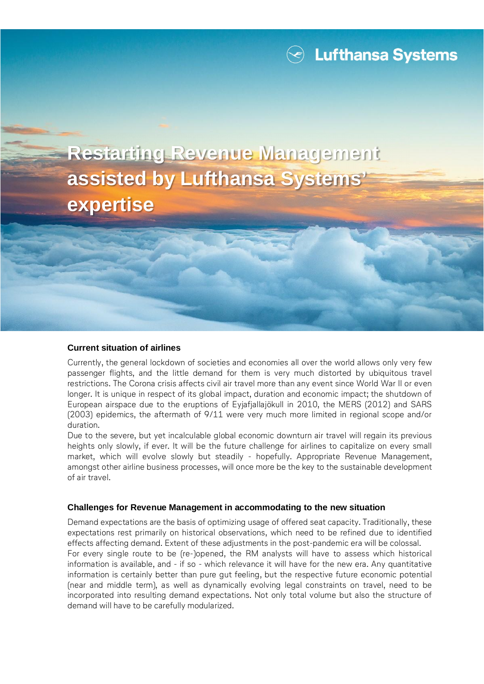**Restarting Revenue Management assisted by Lufthansa Systems' expertise**

## **Current situation of airlines**

Currently, the general lockdown of societies and economies all over the world allows only very few passenger flights, and the little demand for them is very much distorted by ubiquitous travel restrictions. The Corona crisis affects civil air travel more than any event since World War II or even longer. It is unique in respect of its global impact, duration and economic impact; the shutdown of European airspace due to the eruptions of Eyjafjallajökull in 2010, the MERS (2012) and SARS (2003) epidemics, the aftermath of 9/11 were very much more limited in regional scope and/or duration.

Due to the severe, but yet incalculable global economic downturn air travel will regain its previous heights only slowly, if ever. It will be the future challenge for airlines to capitalize on every small market, which will evolve slowly but steadily - hopefully. Appropriate Revenue Management, amongst other airline business processes, will once more be the key to the sustainable development of air travel.

## **Challenges for Revenue Management in accommodating to the new situation**

Demand expectations are the basis of optimizing usage of offered seat capacity. Traditionally, these expectations rest primarily on historical observations, which need to be refined due to identified effects affecting demand. Extent of these adjustments in the post-pandemic era will be colossal. For every single route to be (re-)opened, the RM analysts will have to assess which historical information is available, and - if so - which relevance it will have for the new era. Any quantitative information is certainly better than pure gut feeling, but the respective future economic potential (near and middle term), as well as dynamically evolving legal constraints on travel, need to be incorporated into resulting demand expectations. Not only total volume but also the structure of demand will have to be carefully modularized.